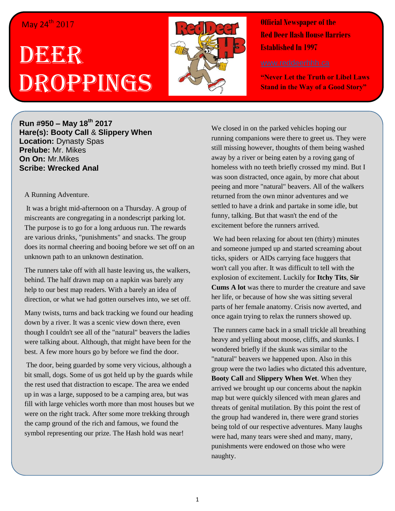## May 24<sup>th</sup> 2017

## DEERR Droppings



**Official Newspaper of the Red Deer Hash House Harriers Established In 1997** 

**"Never Let the Truth or Libel Laws Stand in the Way of a Good Story"**

**Run #950 – May 18th 2017 Hare(s): Booty Call** & **Slippery When Location:** Dynasty Spas **Prelube:** Mr. Mikes **On On:** Mr.Mikes **Scribe: Wrecked Anal**

## A Running Adventure.

It was a bright mid-afternoon on a Thursday. A group of miscreants are congregating in a nondescript parking lot. The purpose is to go for a long arduous run. The rewards are various drinks, "punishments" and snacks. The group does its normal cheering and booing before we set off on an unknown path to an unknown destination.

The runners take off with all haste leaving us, the walkers, behind. The half drawn map on a napkin was barely any help to our best map readers. With a barely an idea of direction, or what we had gotten ourselves into, we set off.

Many twists, turns and back tracking we found our heading down by a river. It was a scenic view down there, even though I couldn't see all of the "natural" beavers the ladies were talking about. Although, that might have been for the best. A few more hours go by before we find the door.

The door, being guarded by some very vicious, although a bit small, dogs. Some of us got held up by the guards while the rest used that distraction to escape. The area we ended up in was a large, supposed to be a camping area, but was fill with large vehicles worth more than most houses but we were on the right track. After some more trekking through the camp ground of the rich and famous, we found the symbol representing our prize. The Hash hold was near!

We closed in on the parked vehicles hoping our running companions were there to greet us. They were still missing however, thoughts of them being washed away by a river or being eaten by a roving gang of homeless with no teeth briefly crossed my mind. But I was soon distracted, once again, by more chat about peeing and more "natural" beavers. All of the walkers returned from the own minor adventures and we settled to have a drink and partake in some idle, but funny, talking. But that wasn't the end of the excitement before the runners arrived.

We had been relaxing for about ten (thirty) minutes and someone jumped up and started screaming about ticks, spiders or AIDs carrying face huggers that won't call you after. It was difficult to tell with the explosion of excitement. Luckily for **Itchy Tits**, **Sir Cums A lot** was there to murder the creature and save her life, or because of how she was sitting several parts of her female anatomy. Crisis now averted, and once again trying to relax the runners showed up.

The runners came back in a small trickle all breathing heavy and yelling about moose, cliffs, and skunks. I wondered briefly if the skunk was similar to the "natural" beavers we happened upon. Also in this group were the two ladies who dictated this adventure, **Booty Call** and **Slippery When Wet**. When they arrived we brought up our concerns about the napkin map but were quickly silenced with mean glares and threats of genital mutilation. By this point the rest of the group had wandered in, there were grand stories being told of our respective adventures. Many laughs were had, many tears were shed and many, many, punishments were endowed on those who were naughty.